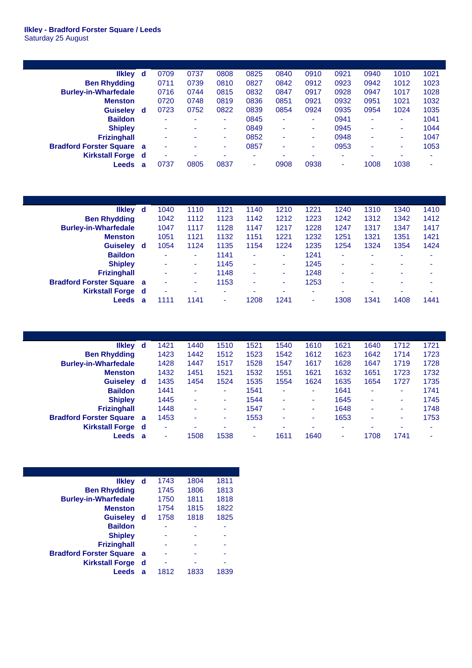## **Ilkley - Bradford Forster Square / Leeds** Saturday 25 August

| <b>Ilkley</b>                  | d   | 0709                     | 0737 | 0808 | 0825                     | 0840 | 0910 | 0921 | 0940                     | 1010 | 1021 |
|--------------------------------|-----|--------------------------|------|------|--------------------------|------|------|------|--------------------------|------|------|
| <b>Ben Rhydding</b>            |     | 0711                     | 0739 | 0810 | 0827                     | 0842 | 0912 | 0923 | 0942                     | 1012 | 1023 |
| <b>Burley-in-Wharfedale</b>    |     | 0716                     | 0744 | 0815 | 0832                     | 0847 | 0917 | 0928 | 0947                     | 1017 | 1028 |
| <b>Menston</b>                 |     | 0720                     | 0748 | 0819 | 0836                     | 0851 | 0921 | 0932 | 0951                     | 1021 | 1032 |
| <b>Guiseley</b>                | d   | 0723                     | 0752 | 0822 | 0839                     | 0854 | 0924 | 0935 | 0954                     | 1024 | 1035 |
| <b>Baildon</b>                 |     | $\overline{\phantom{0}}$ | ۰    | ٠    | 0845                     | ۰    | ٠    | 0941 | $\overline{\phantom{0}}$ | ٠    | 1041 |
| <b>Shipley</b>                 |     | ٠                        | ۰    | ۰    | 0849                     | ۰    | ٠    | 0945 | $\overline{\phantom{0}}$ | ٠    | 1044 |
| <b>Frizinghall</b>             |     | ٠                        | ۰    | ۰    | 0852                     | ۰    | ۰.   | 0948 | $\overline{\phantom{a}}$ | ٠    | 1047 |
| <b>Bradford Forster Square</b> | a   | $\overline{\phantom{a}}$ | ۰    | ۰    | 0857                     | ۰    | ۰.   | 0953 | -                        | ۰    | 1053 |
| <b>Kirkstall Forge</b>         | - d | $\overline{\phantom{a}}$ | ۰    | ۰    | $\overline{\phantom{0}}$ | ۰    | ۰    | ۰    |                          | ۰    | -    |
| Leeds                          | a   | 0737                     | 0805 | 0837 | $\,$ $\,$                | 0908 | 0938 | ۰    | 1008                     | 1038 | ۰    |

| <b>Ilkley</b>                  | d  | 1040                     | 1110 | 1121 | 1140 | 1210 | 1221                     | 1240                     | 1310 | 1340 | 1410                     |
|--------------------------------|----|--------------------------|------|------|------|------|--------------------------|--------------------------|------|------|--------------------------|
| <b>Ben Rhydding</b>            |    | 1042                     | 1112 | 1123 | 1142 | 1212 | 1223                     | 1242                     | 1312 | 1342 | 1412                     |
| <b>Burley-in-Wharfedale</b>    |    | 1047                     | 1117 | 1128 | 1147 | 1217 | 1228                     | 1247                     | 1317 | 1347 | 1417                     |
| <b>Menston</b>                 |    | 1051                     | 1121 | 1132 | 1151 | 1221 | 1232                     | 1251                     | 1321 | 1351 | 1421                     |
| <b>Guiseley</b>                | d  | 1054                     | 1124 | 1135 | 1154 | 1224 | 1235                     | 1254                     | 1324 | 1354 | 1424                     |
| <b>Baildon</b>                 |    | $\overline{\phantom{0}}$ | ۰    | 1141 | ٠    | ۰    | 1241                     | ٠                        |      | -    | $\overline{\phantom{a}}$ |
| <b>Shipley</b>                 |    | ۰                        | ۰    | 1145 | ٠    |      | 1245                     | ٠                        |      | -    | -                        |
| <b>Frizinghall</b>             |    | $\overline{\phantom{0}}$ | ۰    | 1148 | ٠    | ۰    | 1248                     | $\overline{\phantom{a}}$ |      | -    | $\overline{\phantom{a}}$ |
| <b>Bradford Forster Square</b> | -a | $\overline{\phantom{0}}$ | ٠    | 1153 | ٠    | ۰    | 1253                     | ٠                        |      | -    | $\overline{\phantom{a}}$ |
| <b>Kirkstall Forge</b>         | d  | $\overline{\phantom{0}}$ | ۰    | ۰    | ۰.   |      | $\overline{\phantom{a}}$ | ۰                        |      | ۰    | ۰                        |
| Leeds                          | a  | 1111                     | 1141 | ۰    | 1208 | 1241 | $\overline{\phantom{a}}$ | 308                      | 1341 | 1408 | 1441                     |

| <b>Ilkley</b>                  | d   | 1421           | 1440 | 1510 | 1521 | 1540 | 1610 | 1621                     | 1640                     | 1712 | 1721 |
|--------------------------------|-----|----------------|------|------|------|------|------|--------------------------|--------------------------|------|------|
| <b>Ben Rhydding</b>            |     | 1423           | 1442 | 1512 | 1523 | 1542 | 1612 | 1623                     | 1642                     | 1714 | 1723 |
| <b>Burley-in-Wharfedale</b>    |     | 1428           | 1447 | 1517 | 1528 | 1547 | 1617 | 1628                     | 1647                     | 1719 | 1728 |
| <b>Menston</b>                 |     | 1432           | 1451 | 1521 | 1532 | 1551 | 1621 | 1632                     | 1651                     | 1723 | 1732 |
| <b>Guiseley</b>                | d   | 1435           | 1454 | 1524 | 1535 | 1554 | 1624 | 1635                     | 1654                     | 1727 | 1735 |
| <b>Baildon</b>                 |     | 1441           | ۰    | ٠    | 1541 | ۰    | ۰    | 1641                     | $\overline{\phantom{a}}$ | -    | 1741 |
| <b>Shipley</b>                 |     | 1445           | ۰    | ۰    | 1544 | ۰    | ۰    | 1645                     | $\overline{\phantom{a}}$ | -    | 1745 |
| <b>Frizinghall</b>             |     | 1448           | ۰    | ۰    | 1547 | ۰    | ۰    | 1648                     | ٠                        | -    | 1748 |
| <b>Bradford Forster Square</b> | - a | 1453           | ۰    | ۰    | 1553 | ۰    | ۰    | 1653                     | $\overline{\phantom{0}}$ | -    | 1753 |
| <b>Kirkstall Forge</b> d       |     | $\blacksquare$ |      | -    | ٠    |      | -    | $\overline{\phantom{0}}$ | -                        |      |      |
| Leeds                          | a   | ۰              | 1508 | 1538 | ۰    | 1611 | 1640 | ۰                        | 1708                     | 1741 | -    |

| <b>Ilkley</b>                  | d | 1743 | 1804 | 1811 |
|--------------------------------|---|------|------|------|
| <b>Ben Rhydding</b>            |   | 1745 | 1806 | 1813 |
| <b>Burley-in-Wharfedale</b>    |   | 1750 | 1811 | 1818 |
| <b>Menston</b>                 |   | 1754 | 1815 | 1822 |
| <b>Guiseley</b>                | d | 1758 | 1818 | 1825 |
| <b>Baildon</b>                 |   |      |      |      |
| <b>Shipley</b>                 |   |      |      |      |
| <b>Frizinghall</b>             |   |      |      |      |
| <b>Bradford Forster Square</b> | a |      |      |      |
| <b>Kirkstall Forge</b>         | d |      |      |      |
| Leeds                          | a | 1812 | 1833 | 1839 |
|                                |   |      |      |      |